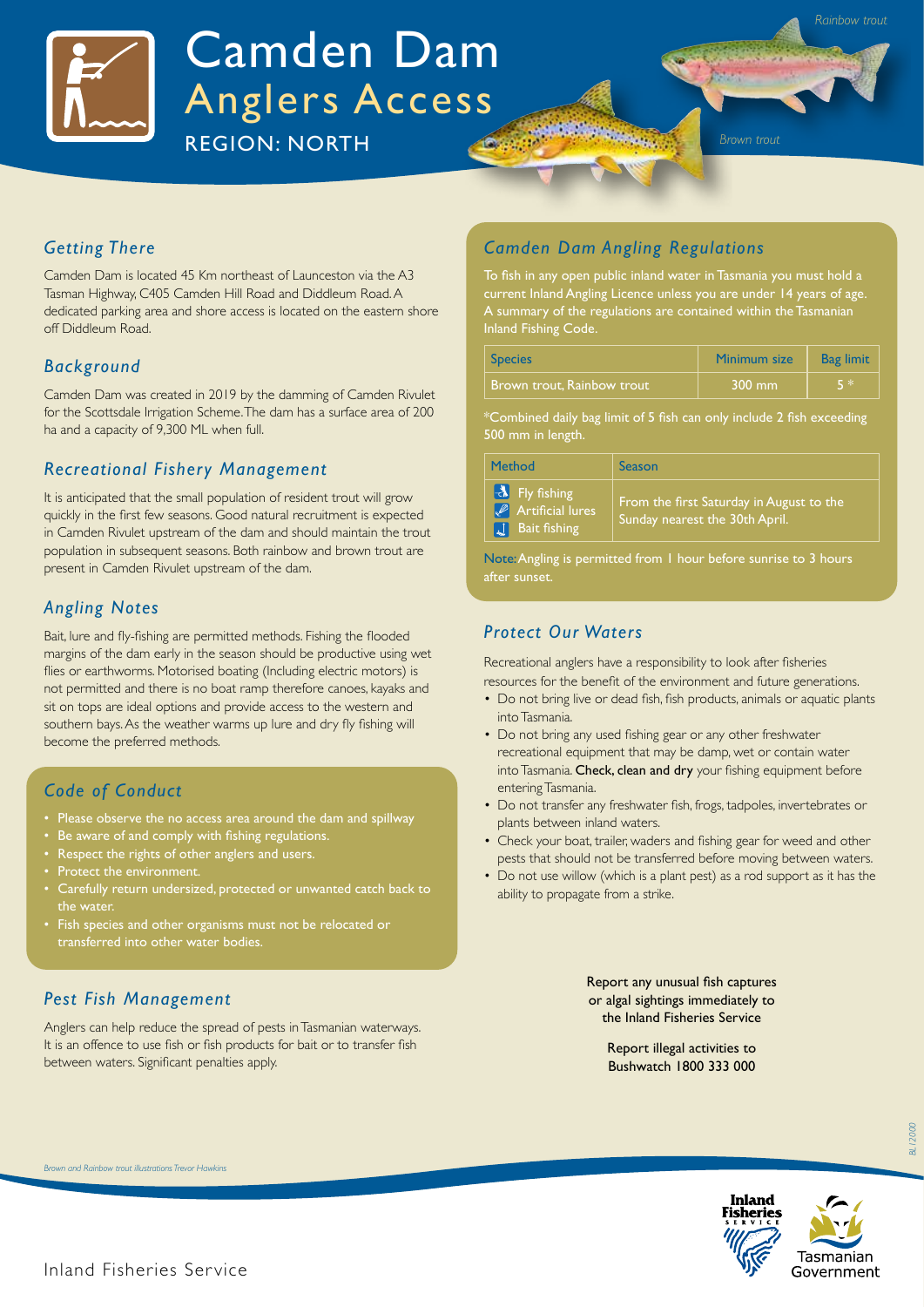

# Camden Dam Anglers Access

**REGION: NORTH Brown trout** 

## *Getting There*

Camden Dam is located 45 Km northeast of Launceston via the A3 Tasman Highway, C405 Camden Hill Road and Diddleum Road. A dedicated parking area and shore access is located on the eastern shore off Diddleum Road.

## *Background*

Camden Dam was created in 2019 by the damming of Camden Rivulet for the Scottsdale Irrigation Scheme. The dam has a surface area of 200 ha and a capacity of 9,300 ML when full.

#### *Recreational Fishery Management*

It is anticipated that the small population of resident trout will grow quickly in the first few seasons. Good natural recruitment is expected in Camden Rivulet upstream of the dam and should maintain the trout population in subsequent seasons. Both rainbow and brown trout are present in Camden Rivulet upstream of the dam.

#### *Angling Notes*

Bait, lure and fly-fishing are permitted methods. Fishing the flooded margins of the dam early in the season should be productive using wet flies or earthworms. Motorised boating (Including electric motors) is not permitted and there is no boat ramp therefore canoes, kayaks and sit on tops are ideal options and provide access to the western and southern bays. As the weather warms up lure and dry fly fishing will become the preferred methods.

#### *Code of Conduct*

- Please observe the no access area around the dam and spillway
- Be aware of and comply with fishing regulations.
- Respect the rights of other anglers and users.
- Protect the environment.
- Carefully return undersized, protected or unwanted catch back to the water.
- Fish species and other organisms must not be relocated or transferred into other water bodies.

## *Pest Fish Management*

Anglers can help reduce the spread of pests in Tasmanian waterways. It is an offence to use fish or fish products for bait or to transfer fish between waters. Significant penalties apply.

## *Camden Dam Angling Regulations*

To fish in any open public inland water in Tasmania you must hold a current Inland Angling Licence unless you are under 14 years of age. A summary of the regulations are contained within the Tasmanian Inland Fishing Code.

| <b>Species</b>             | Minimum size     | <b>Bag limit</b> |
|----------------------------|------------------|------------------|
| Brown trout. Rainbow trout | $300 \text{ mm}$ | EЖ               |

\*Combined daily bag limit of 5 fish can only include 2 fish exceeding 500 mm in length.

| Method                                                                             | Season                                                                     |
|------------------------------------------------------------------------------------|----------------------------------------------------------------------------|
| $\mathcal{A}$ Fly fishing<br>$\sqrt{\ell}$ Artificial lures<br><b>Bait fishing</b> | From the first Saturday in August to the<br>Sunday nearest the 30th April. |

Note: Angling is permitted from 1 hour before sunrise to 3 hours after sunset.

#### *Protect Our Waters*

Recreational anglers have a responsibility to look after fisheries resources for the benefit of the environment and future generations.

- Do not bring live or dead fish, fish products, animals or aquatic plants into Tasmania.
- Do not bring any used fishing gear or any other freshwater recreational equipment that may be damp, wet or contain water into Tasmania. Check, clean and dry your fishing equipment before entering Tasmania.
- Do not transfer any freshwater fish, frogs, tadpoles, invertebrates or plants between inland waters.
- Check your boat, trailer, waders and fishing gear for weed and other pests that should not be transferred before moving between waters.
- Do not use willow (which is a plant pest) as a rod support as it has the ability to propagate from a strike.

Report any unusual fish captures or algal sightings immediately to the Inland Fisheries Service

> Report illegal activities to Bushwatch 1800 333 000



*Brown and Rainbow trout illustrations Trevor Hawkins*